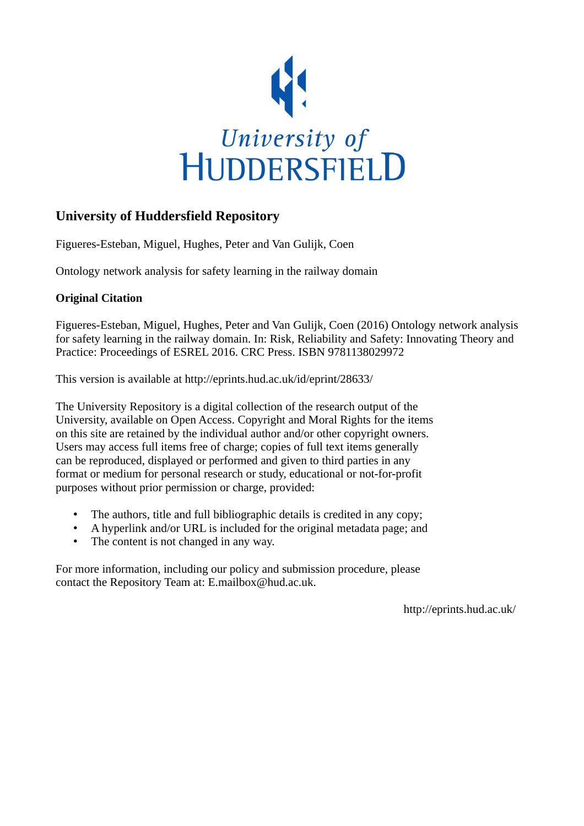

# **University of Huddersfield Repository**

Figueres-Esteban, Miguel, Hughes, Peter and Van Gulijk, Coen

Ontology network analysis for safety learning in the railway domain

# **Original Citation**

Figueres-Esteban, Miguel, Hughes, Peter and Van Gulijk, Coen (2016) Ontology network analysis for safety learning in the railway domain. In: Risk, Reliability and Safety: Innovating Theory and Practice: Proceedings of ESREL 2016. CRC Press. ISBN 9781138029972

This version is available at http://eprints.hud.ac.uk/id/eprint/28633/

The University Repository is a digital collection of the research output of the University, available on Open Access. Copyright and Moral Rights for the items on this site are retained by the individual author and/or other copyright owners. Users may access full items free of charge; copies of full text items generally can be reproduced, displayed or performed and given to third parties in any format or medium for personal research or study, educational or not-for-profit purposes without prior permission or charge, provided:

- The authors, title and full bibliographic details is credited in any copy;
- A hyperlink and/or URL is included for the original metadata page; and
- The content is not changed in any way.

For more information, including our policy and submission procedure, please contact the Repository Team at: E.mailbox@hud.ac.uk.

http://eprints.hud.ac.uk/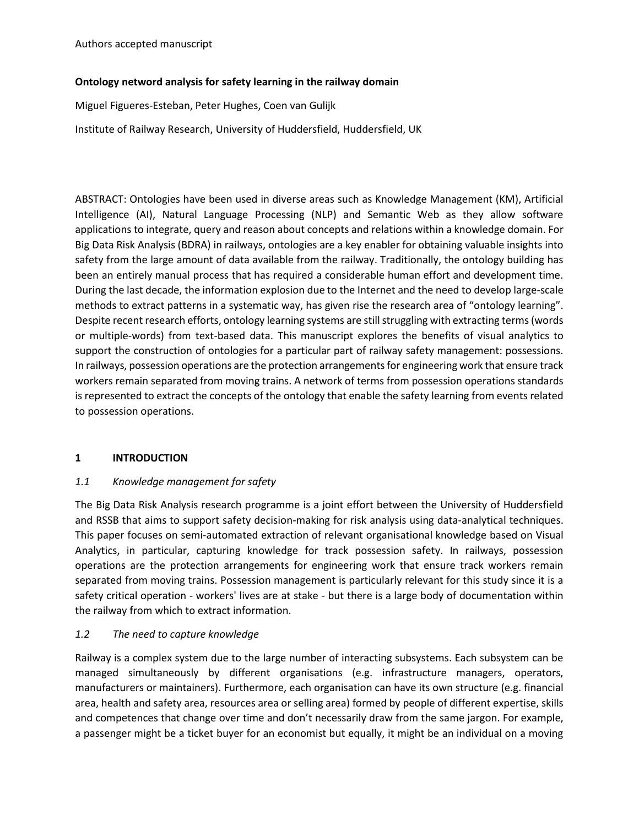#### **Ontology netword analysis for safety learning in the railway domain**

Miguel Figueres-Esteban, Peter Hughes, Coen van Gulijk

Institute of Railway Research, University of Huddersfield, Huddersfield, UK

ABSTRACT: Ontologies have been used in diverse areas such as Knowledge Management (KM), Artificial Intelligence (AI), Natural Language Processing (NLP) and Semantic Web as they allow software applications to integrate, query and reason about concepts and relations within a knowledge domain. For Big Data Risk Analysis (BDRA) in railways, ontologies are a key enabler for obtaining valuable insights into safety from the large amount of data available from the railway. Traditionally, the ontology building has been an entirely manual process that has required a considerable human effort and development time. During the last decade, the information explosion due to the Internet and the need to develop large-scale methods to extract patterns in a systematic way, has given rise the research area of "ontology learning". Despite recent research efforts, ontology learning systems are still struggling with extracting terms (words or multiple-words) from text-based data. This manuscript explores the benefits of visual analytics to support the construction of ontologies for a particular part of railway safety management: possessions. In railways, possession operations are the protection arrangements for engineering work that ensure track workers remain separated from moving trains. A network of terms from possession operations standards is represented to extract the concepts of the ontology that enable the safety learning from events related to possession operations.

## **1 INTRODUCTION**

## *1.1 Knowledge management for safety*

The Big Data Risk Analysis research programme is a joint effort between the University of Huddersfield and RSSB that aims to support safety decision-making for risk analysis using data-analytical techniques. This paper focuses on semi-automated extraction of relevant organisational knowledge based on Visual Analytics, in particular, capturing knowledge for track possession safety. In railways, possession operations are the protection arrangements for engineering work that ensure track workers remain separated from moving trains. Possession management is particularly relevant for this study since it is a safety critical operation - workers' lives are at stake - but there is a large body of documentation within the railway from which to extract information.

## *1.2 The need to capture knowledge*

Railway is a complex system due to the large number of interacting subsystems. Each subsystem can be managed simultaneously by different organisations (e.g. infrastructure managers, operators, manufacturers or maintainers). Furthermore, each organisation can have its own structure (e.g. financial area, health and safety area, resources area or selling area) formed by people of different expertise, skills and competences that change over time and don't necessarily draw from the same jargon. For example, a passenger might be a ticket buyer for an economist but equally, it might be an individual on a moving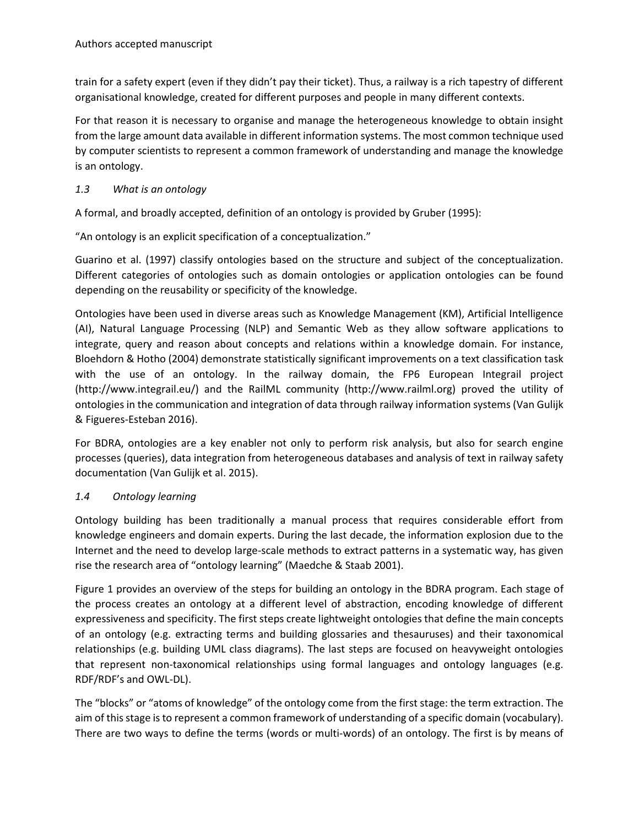train for a safety expert (even if they didn't pay their ticket). Thus, a railway is a rich tapestry of different organisational knowledge, created for different purposes and people in many different contexts.

For that reason it is necessary to organise and manage the heterogeneous knowledge to obtain insight from the large amount data available in different information systems. The most common technique used by computer scientists to represent a common framework of understanding and manage the knowledge is an ontology.

## *1.3 What is an ontology*

A formal, and broadly accepted, definition of an ontology is provided by Gruber (1995):

"An ontology is an explicit specification of a conceptualization."

Guarino et al. (1997) classify ontologies based on the structure and subject of the conceptualization. Different categories of ontologies such as domain ontologies or application ontologies can be found depending on the reusability or specificity of the knowledge.

Ontologies have been used in diverse areas such as Knowledge Management (KM), Artificial Intelligence (AI), Natural Language Processing (NLP) and Semantic Web as they allow software applications to integrate, query and reason about concepts and relations within a knowledge domain. For instance, Bloehdorn & Hotho (2004) demonstrate statistically significant improvements on a text classification task with the use of an ontology. In the railway domain, the FP6 European Integrail project (http://www.integrail.eu/) and the RailML community (http://www.railml.org) proved the utility of ontologies in the communication and integration of data through railway information systems (Van Gulijk & Figueres-Esteban 2016).

For BDRA, ontologies are a key enabler not only to perform risk analysis, but also for search engine processes (queries), data integration from heterogeneous databases and analysis of text in railway safety documentation (Van Gulijk et al. 2015).

## *1.4 Ontology learning*

Ontology building has been traditionally a manual process that requires considerable effort from knowledge engineers and domain experts. During the last decade, the information explosion due to the Internet and the need to develop large-scale methods to extract patterns in a systematic way, has given rise the research area of "ontology learning" (Maedche & Staab 2001).

Figure 1 provides an overview of the steps for building an ontology in the BDRA program. Each stage of the process creates an ontology at a different level of abstraction, encoding knowledge of different expressiveness and specificity. The first steps create lightweight ontologies that define the main concepts of an ontology (e.g. extracting terms and building glossaries and thesauruses) and their taxonomical relationships (e.g. building UML class diagrams). The last steps are focused on heavyweight ontologies that represent non-taxonomical relationships using formal languages and ontology languages (e.g. RDF/RDF's and OWL-DL).

The "blocks" or "atoms of knowledge" of the ontology come from the first stage: the term extraction. The aim of this stage is to represent a common framework of understanding of a specific domain (vocabulary). There are two ways to define the terms (words or multi-words) of an ontology. The first is by means of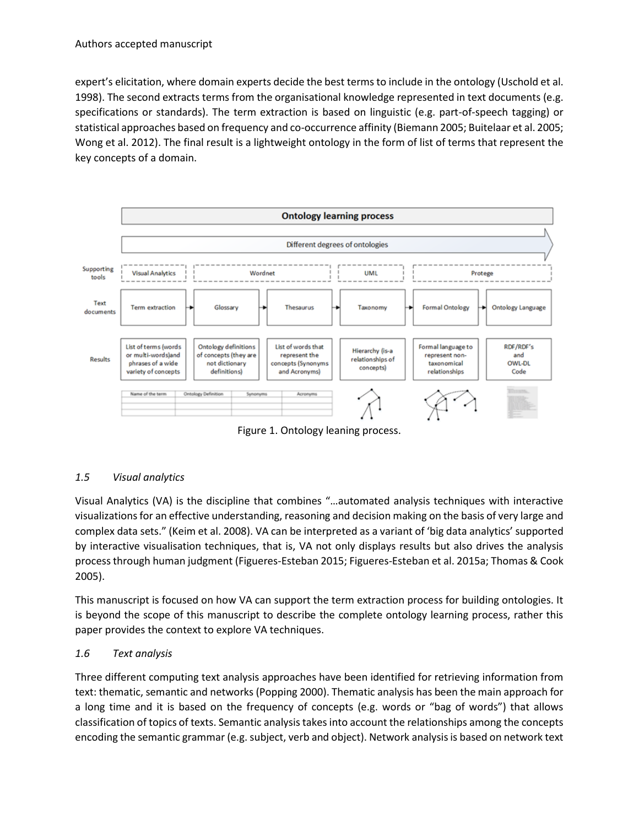expert's elicitation, where domain experts decide the best terms to include in the ontology (Uschold et al. 1998). The second extracts terms from the organisational knowledge represented in text documents (e.g. specifications or standards). The term extraction is based on linguistic (e.g. part-of-speech tagging) or statistical approaches based on frequency and co-occurrence affinity (Biemann 2005; Buitelaar et al. 2005; Wong et al. 2012). The final result is a lightweight ontology in the form of list of terms that represent the key concepts of a domain.



Figure 1. Ontology leaning process.

## *1.5 Visual analytics*

Visual Analytics (VA) is the discipline that combines "…automated analysis techniques with interactive visualizations for an effective understanding, reasoning and decision making on the basis of very large and complex data sets." (Keim et al. 2008). VA can be interpreted as a variant of 'big data analytics' supported by interactive visualisation techniques, that is, VA not only displays results but also drives the analysis process through human judgment (Figueres-Esteban 2015; Figueres-Esteban et al. 2015a; Thomas & Cook 2005).

This manuscript is focused on how VA can support the term extraction process for building ontologies. It is beyond the scope of this manuscript to describe the complete ontology learning process, rather this paper provides the context to explore VA techniques.

#### *1.6 Text analysis*

Three different computing text analysis approaches have been identified for retrieving information from text: thematic, semantic and networks (Popping 2000). Thematic analysis has been the main approach for a long time and it is based on the frequency of concepts (e.g. words or "bag of words") that allows classification of topics of texts. Semantic analysis takes into account the relationships among the concepts encoding the semantic grammar (e.g. subject, verb and object). Network analysis is based on network text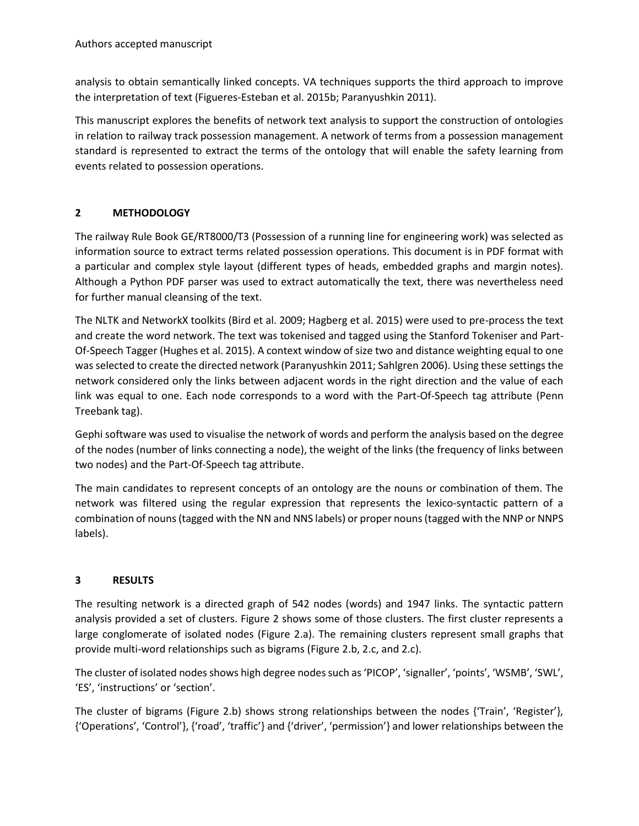analysis to obtain semantically linked concepts. VA techniques supports the third approach to improve the interpretation of text (Figueres-Esteban et al. 2015b; Paranyushkin 2011).

This manuscript explores the benefits of network text analysis to support the construction of ontologies in relation to railway track possession management. A network of terms from a possession management standard is represented to extract the terms of the ontology that will enable the safety learning from events related to possession operations.

## **2 METHODOLOGY**

The railway Rule Book GE/RT8000/T3 (Possession of a running line for engineering work) was selected as information source to extract terms related possession operations. This document is in PDF format with a particular and complex style layout (different types of heads, embedded graphs and margin notes). Although a Python PDF parser was used to extract automatically the text, there was nevertheless need for further manual cleansing of the text.

The NLTK and NetworkX toolkits (Bird et al. 2009; Hagberg et al. 2015) were used to pre-process the text and create the word network. The text was tokenised and tagged using the Stanford Tokeniser and Part-Of-Speech Tagger (Hughes et al. 2015). A context window of size two and distance weighting equal to one was selected to create the directed network (Paranyushkin 2011; Sahlgren 2006). Using these settings the network considered only the links between adjacent words in the right direction and the value of each link was equal to one. Each node corresponds to a word with the Part-Of-Speech tag attribute (Penn Treebank tag).

Gephi software was used to visualise the network of words and perform the analysis based on the degree of the nodes (number of links connecting a node), the weight of the links (the frequency of links between two nodes) and the Part-Of-Speech tag attribute.

The main candidates to represent concepts of an ontology are the nouns or combination of them. The network was filtered using the regular expression that represents the lexico-syntactic pattern of a combination of nouns (tagged with the NN and NNS labels) or proper nouns (tagged with the NNP or NNPS labels).

#### **3 RESULTS**

The resulting network is a directed graph of 542 nodes (words) and 1947 links. The syntactic pattern analysis provided a set of clusters. Figure 2 shows some of those clusters. The first cluster represents a large conglomerate of isolated nodes (Figure 2.a). The remaining clusters represent small graphs that provide multi-word relationships such as bigrams (Figure 2.b, 2.c, and 2.c).

The cluster of isolated nodes shows high degree nodes such as 'PICOP', 'signaller', 'points', 'WSMB', 'SWL', 'ES', 'instructions' or 'section'.

The cluster of bigrams (Figure 2.b) shows strong relationships between the nodes {'Train', 'Register'}, {'Operations', 'Control'}, {'road', 'traffic'} and {'driver', 'permission'} and lower relationships between the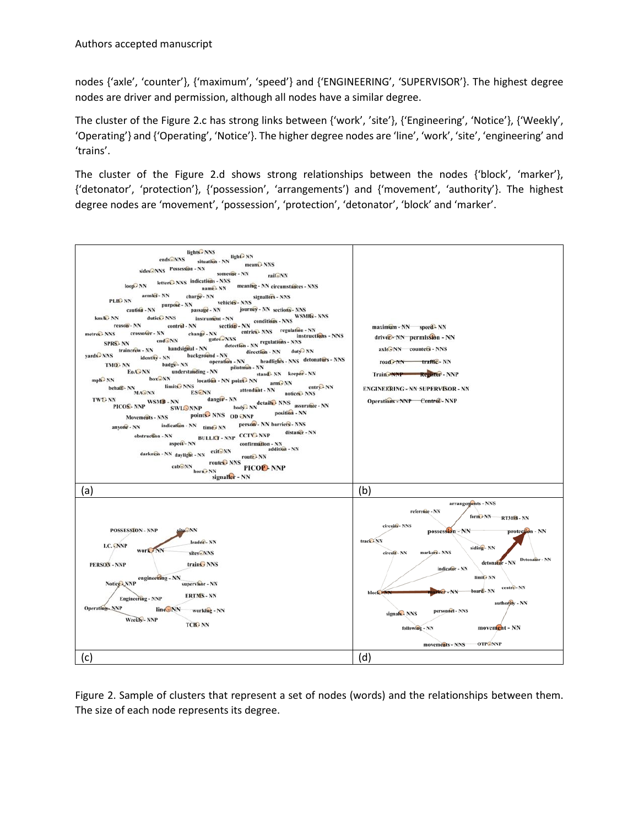nodes {'axle', 'counter'}, {'maximum', 'speed'} and {'ENGINEERING', 'SUPERVISOR'}. The highest degree nodes are driver and permission, although all nodes have a similar degree.

The cluster of the Figure 2.c has strong links between {'work', 'site'}, {'Engineering', 'Notice'}, {'Weekly', 'Operating'} and {'Operating', 'Notice'}. The higher degree nodes are 'line', 'work', 'site', 'engineering' and 'trains'.

The cluster of the Figure 2.d shows strong relationships between the nodes {'block', 'marker'}, {'detonator', 'protection'}, {'possession', 'arrangements') and {'movement', 'authority'}. The highest degree nodes are 'movement', 'possession', 'protection', 'detonator', 'block' and 'marker'.



Figure 2. Sample of clusters that represent a set of nodes (words) and the relationships between them. The size of each node represents its degree.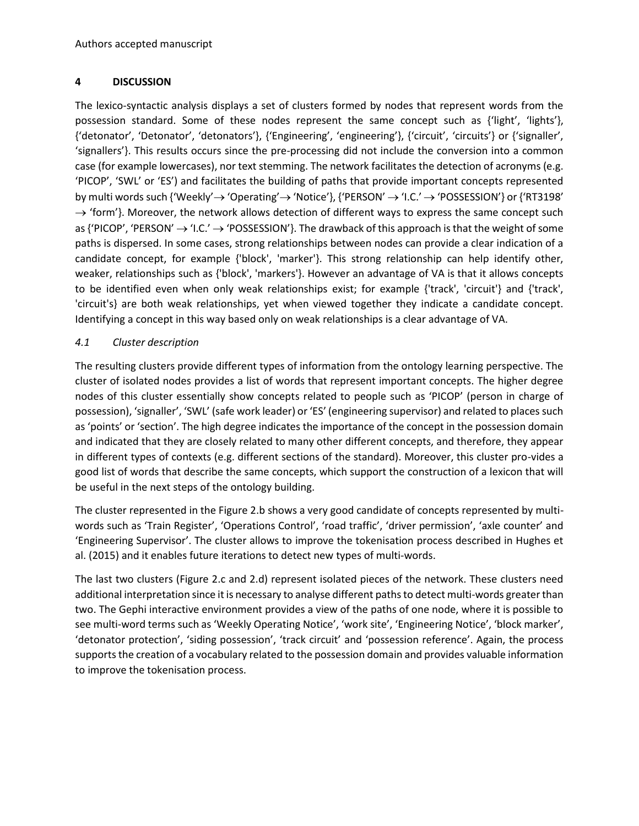#### **4 DISCUSSION**

The lexico-syntactic analysis displays a set of clusters formed by nodes that represent words from the possession standard. Some of these nodes represent the same concept such as {'light', 'lights'}, {'detonator', 'Detonator', 'detonators'}, {'Engineering', 'engineering'}, {'circuit', 'circuits'} or {'signaller', 'signallers'}. This results occurs since the pre-processing did not include the conversion into a common case (for example lowercases), nor text stemming. The network facilitates the detection of acronyms (e.g. 'PICOP', 'SWL' or 'ES') and facilitates the building of paths that provide important concepts represented by multi words such {'Weekly'  $\rightarrow$  'Operating'  $\rightarrow$  'Notice'}, {'PERSON'  $\rightarrow$  'I.C.'  $\rightarrow$  'POSSESSION'} or {'RT3198'  $\rightarrow$  'form'}. Moreover, the network allows detection of different ways to express the same concept such as {'PICOP', 'PERSON'  $\rightarrow$  'I.C.'  $\rightarrow$  'POSSESSION'}. The drawback of this approach is that the weight of some paths is dispersed. In some cases, strong relationships between nodes can provide a clear indication of a candidate concept, for example {'block', 'marker'}. This strong relationship can help identify other, weaker, relationships such as {'block', 'markers'}. However an advantage of VA is that it allows concepts to be identified even when only weak relationships exist; for example {'track', 'circuit'} and {'track', 'circuit's} are both weak relationships, yet when viewed together they indicate a candidate concept. Identifying a concept in this way based only on weak relationships is a clear advantage of VA.

## *4.1 Cluster description*

The resulting clusters provide different types of information from the ontology learning perspective. The cluster of isolated nodes provides a list of words that represent important concepts. The higher degree nodes of this cluster essentially show concepts related to people such as 'PICOP' (person in charge of possession), 'signaller', 'SWL' (safe work leader) or 'ES' (engineering supervisor) and related to places such as 'points' or 'section'. The high degree indicates the importance of the concept in the possession domain and indicated that they are closely related to many other different concepts, and therefore, they appear in different types of contexts (e.g. different sections of the standard). Moreover, this cluster pro-vides a good list of words that describe the same concepts, which support the construction of a lexicon that will be useful in the next steps of the ontology building.

The cluster represented in the Figure 2.b shows a very good candidate of concepts represented by multiwords such as 'Train Register', 'Operations Control', 'road traffic', 'driver permission', 'axle counter' and 'Engineering Supervisor'. The cluster allows to improve the tokenisation process described in Hughes et al. (2015) and it enables future iterations to detect new types of multi-words.

The last two clusters (Figure 2.c and 2.d) represent isolated pieces of the network. These clusters need additional interpretation since it is necessary to analyse different paths to detect multi-words greater than two. The Gephi interactive environment provides a view of the paths of one node, where it is possible to see multi-word terms such as 'Weekly Operating Notice', 'work site', 'Engineering Notice', 'block marker', 'detonator protection', 'siding possession', 'track circuit' and 'possession reference'. Again, the process supports the creation of a vocabulary related to the possession domain and provides valuable information to improve the tokenisation process.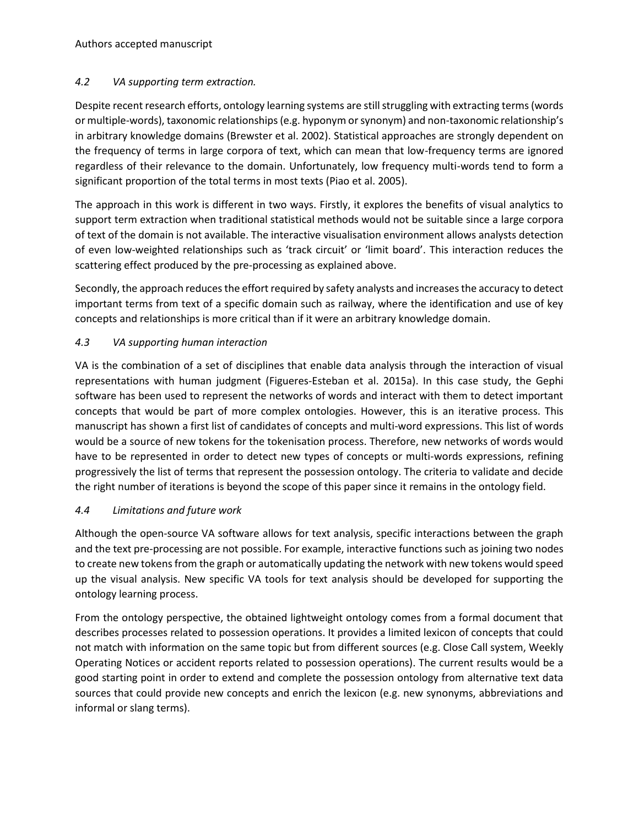## *4.2 VA supporting term extraction.*

Despite recent research efforts, ontology learning systems are still struggling with extracting terms (words or multiple-words), taxonomic relationships (e.g. hyponym or synonym) and non-taxonomic relationship's in arbitrary knowledge domains (Brewster et al. 2002). Statistical approaches are strongly dependent on the frequency of terms in large corpora of text, which can mean that low-frequency terms are ignored regardless of their relevance to the domain. Unfortunately, low frequency multi-words tend to form a significant proportion of the total terms in most texts (Piao et al. 2005).

The approach in this work is different in two ways. Firstly, it explores the benefits of visual analytics to support term extraction when traditional statistical methods would not be suitable since a large corpora of text of the domain is not available. The interactive visualisation environment allows analysts detection of even low-weighted relationships such as 'track circuit' or 'limit board'. This interaction reduces the scattering effect produced by the pre-processing as explained above.

Secondly, the approach reduces the effort required by safety analysts and increases the accuracy to detect important terms from text of a specific domain such as railway, where the identification and use of key concepts and relationships is more critical than if it were an arbitrary knowledge domain.

## *4.3 VA supporting human interaction*

VA is the combination of a set of disciplines that enable data analysis through the interaction of visual representations with human judgment (Figueres-Esteban et al. 2015a). In this case study, the Gephi software has been used to represent the networks of words and interact with them to detect important concepts that would be part of more complex ontologies. However, this is an iterative process. This manuscript has shown a first list of candidates of concepts and multi-word expressions. This list of words would be a source of new tokens for the tokenisation process. Therefore, new networks of words would have to be represented in order to detect new types of concepts or multi-words expressions, refining progressively the list of terms that represent the possession ontology. The criteria to validate and decide the right number of iterations is beyond the scope of this paper since it remains in the ontology field.

## *4.4 Limitations and future work*

Although the open-source VA software allows for text analysis, specific interactions between the graph and the text pre-processing are not possible. For example, interactive functions such as joining two nodes to create new tokens from the graph or automatically updating the network with new tokens would speed up the visual analysis. New specific VA tools for text analysis should be developed for supporting the ontology learning process.

From the ontology perspective, the obtained lightweight ontology comes from a formal document that describes processes related to possession operations. It provides a limited lexicon of concepts that could not match with information on the same topic but from different sources (e.g. Close Call system, Weekly Operating Notices or accident reports related to possession operations). The current results would be a good starting point in order to extend and complete the possession ontology from alternative text data sources that could provide new concepts and enrich the lexicon (e.g. new synonyms, abbreviations and informal or slang terms).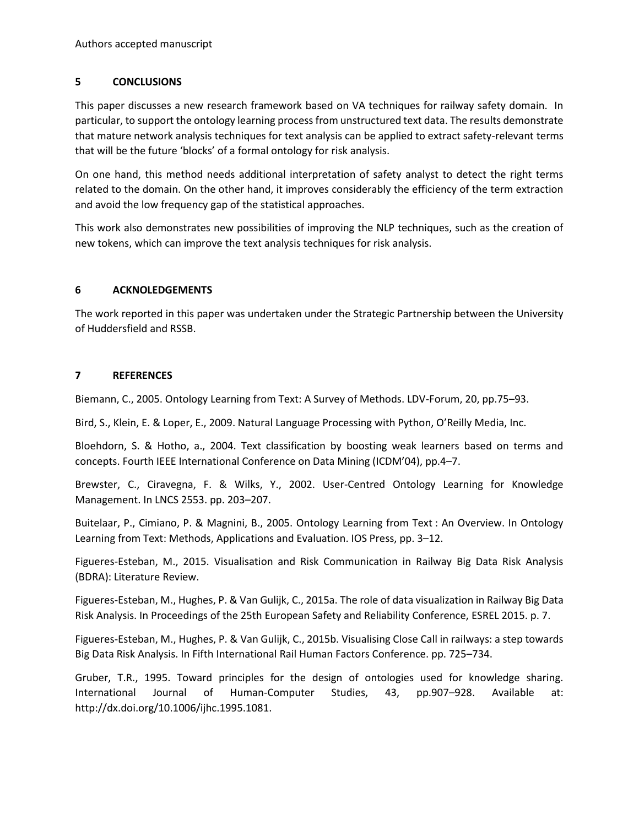#### **5 CONCLUSIONS**

This paper discusses a new research framework based on VA techniques for railway safety domain. In particular, to support the ontology learning process from unstructured text data. The results demonstrate that mature network analysis techniques for text analysis can be applied to extract safety-relevant terms that will be the future 'blocks' of a formal ontology for risk analysis.

On one hand, this method needs additional interpretation of safety analyst to detect the right terms related to the domain. On the other hand, it improves considerably the efficiency of the term extraction and avoid the low frequency gap of the statistical approaches.

This work also demonstrates new possibilities of improving the NLP techniques, such as the creation of new tokens, which can improve the text analysis techniques for risk analysis.

#### **6 ACKNOLEDGEMENTS**

The work reported in this paper was undertaken under the Strategic Partnership between the University of Huddersfield and RSSB.

#### **7 REFERENCES**

Biemann, C., 2005. Ontology Learning from Text: A Survey of Methods. LDV-Forum, 20, pp.75–93.

Bird, S., Klein, E. & Loper, E., 2009. Natural Language Processing with Python, O'Reilly Media, Inc.

Bloehdorn, S. & Hotho, a., 2004. Text classification by boosting weak learners based on terms and concepts. Fourth IEEE International Conference on Data Mining (ICDM'04), pp.4–7.

Brewster, C., Ciravegna, F. & Wilks, Y., 2002. User-Centred Ontology Learning for Knowledge Management. In LNCS 2553. pp. 203–207.

Buitelaar, P., Cimiano, P. & Magnini, B., 2005. Ontology Learning from Text : An Overview. In Ontology Learning from Text: Methods, Applications and Evaluation. IOS Press, pp. 3–12.

Figueres-Esteban, M., 2015. Visualisation and Risk Communication in Railway Big Data Risk Analysis (BDRA): Literature Review.

Figueres-Esteban, M., Hughes, P. & Van Gulijk, C., 2015a. The role of data visualization in Railway Big Data Risk Analysis. In Proceedings of the 25th European Safety and Reliability Conference, ESREL 2015. p. 7.

Figueres-Esteban, M., Hughes, P. & Van Gulijk, C., 2015b. Visualising Close Call in railways: a step towards Big Data Risk Analysis. In Fifth International Rail Human Factors Conference. pp. 725–734.

Gruber, T.R., 1995. Toward principles for the design of ontologies used for knowledge sharing. International Journal of Human-Computer Studies, 43, pp.907–928. Available at: http://dx.doi.org/10.1006/ijhc.1995.1081.